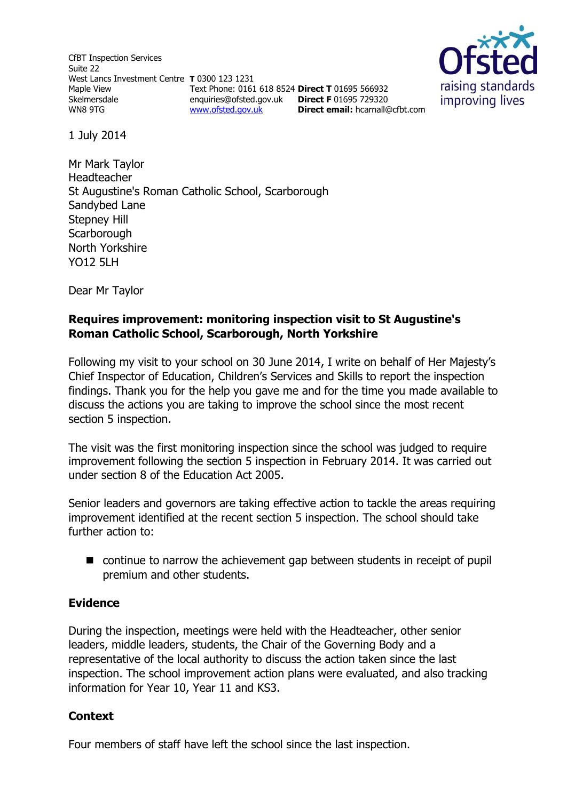CfBT Inspection Services Suite 22 West Lancs Investment Centre **T** 0300 123 1231 Maple View Skelmersdale WN8 9TG Text Phone: 0161 618 8524 **Direct T** 01695 566932 enquiries@ofsted.gov.uk **Direct F** 01695 729320 [www.ofsted.gov.uk](http://www.ofsted.gov.uk/) **Direct email:** <hcarnall@cfbt.com>



1 July 2014

Mr Mark Taylor Headteacher St Augustine's Roman Catholic School, Scarborough Sandybed Lane Stepney Hill **Scarborough** North Yorkshire YO12 5LH

Dear Mr Taylor

# **Requires improvement: monitoring inspection visit to St Augustine's Roman Catholic School, Scarborough, North Yorkshire**

Following my visit to your school on 30 June 2014, I write on behalf of Her Majesty's Chief Inspector of Education, Children's Services and Skills to report the inspection findings. Thank you for the help you gave me and for the time you made available to discuss the actions you are taking to improve the school since the most recent section 5 inspection.

The visit was the first monitoring inspection since the school was judged to require improvement following the section 5 inspection in February 2014. It was carried out under section 8 of the Education Act 2005.

Senior leaders and governors are taking effective action to tackle the areas requiring improvement identified at the recent section 5 inspection. The school should take further action to:

 continue to narrow the achievement gap between students in receipt of pupil premium and other students.

# **Evidence**

During the inspection, meetings were held with the Headteacher, other senior leaders, middle leaders, students, the Chair of the Governing Body and a representative of the local authority to discuss the action taken since the last inspection. The school improvement action plans were evaluated, and also tracking information for Year 10, Year 11 and KS3.

# **Context**

Four members of staff have left the school since the last inspection.